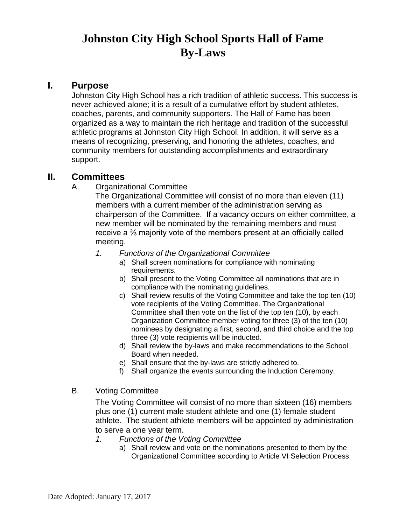# **Johnston City High School Sports Hall of Fame By-Laws**

#### **I. Purpose**

Johnston City High School has a rich tradition of athletic success. This success is never achieved alone; it is a result of a cumulative effort by student athletes, coaches, parents, and community supporters. The Hall of Fame has been organized as a way to maintain the rich heritage and tradition of the successful athletic programs at Johnston City High School. In addition, it will serve as a means of recognizing, preserving, and honoring the athletes, coaches, and community members for outstanding accomplishments and extraordinary support.

#### **II. Committees**

A. Organizational Committee

The Organizational Committee will consist of no more than eleven (11) members with a current member of the administration serving as chairperson of the Committee. If a vacancy occurs on either committee, a new member will be nominated by the remaining members and must receive a ⅔ majority vote of the members present at an officially called meeting.

- *1. Functions of the Organizational Committee*
	- a) Shall screen nominations for compliance with nominating requirements.
	- b) Shall present to the Voting Committee all nominations that are in compliance with the nominating guidelines.
	- c) Shall review results of the Voting Committee and take the top ten (10) vote recipients of the Voting Committee. The Organizational Committee shall then vote on the list of the top ten (10), by each Organization Committee member voting for three (3) of the ten (10) nominees by designating a first, second, and third choice and the top three (3) vote recipients will be inducted.
	- d) Shall review the by-laws and make recommendations to the School Board when needed.
	- e) Shall ensure that the by-laws are strictly adhered to.
	- f) Shall organize the events surrounding the Induction Ceremony.
- B. Voting Committee

The Voting Committee will consist of no more than sixteen (16) members plus one (1) current male student athlete and one (1) female student athlete. The student athlete members will be appointed by administration to serve a one year term.

- *1. Functions of the Voting Committee*
	- a) Shall review and vote on the nominations presented to them by the Organizational Committee according to Article VI Selection Process.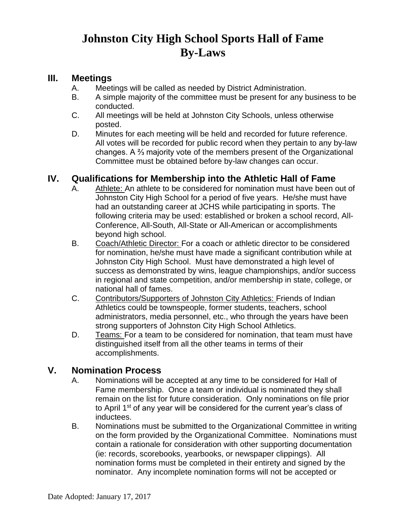# **Johnston City High School Sports Hall of Fame By-Laws**

### **III. Meetings**

- A. Meetings will be called as needed by District Administration.
- B. A simple majority of the committee must be present for any business to be conducted.
- C. All meetings will be held at Johnston City Schools, unless otherwise posted.
- D. Minutes for each meeting will be held and recorded for future reference. All votes will be recorded for public record when they pertain to any by-law changes. A ⅔ majority vote of the members present of the Organizational Committee must be obtained before by-law changes can occur.

## **IV. Qualifications for Membership into the Athletic Hall of Fame**

- A. Athlete: An athlete to be considered for nomination must have been out of Johnston City High School for a period of five years. He/she must have had an outstanding career at JCHS while participating in sports. The following criteria may be used: established or broken a school record, All-Conference, All-South, All-State or All-American or accomplishments beyond high school.
- B. Coach/Athletic Director: For a coach or athletic director to be considered for nomination, he/she must have made a significant contribution while at Johnston City High School. Must have demonstrated a high level of success as demonstrated by wins, league championships, and/or success in regional and state competition, and/or membership in state, college, or national hall of fames.
- C. Contributors/Supporters of Johnston City Athletics: Friends of Indian Athletics could be townspeople, former students, teachers, school administrators, media personnel, etc., who through the years have been strong supporters of Johnston City High School Athletics.
- D. Teams: For a team to be considered for nomination, that team must have distinguished itself from all the other teams in terms of their accomplishments.

## **V. Nomination Process**

- A. Nominations will be accepted at any time to be considered for Hall of Fame membership. Once a team or individual is nominated they shall remain on the list for future consideration. Only nominations on file prior to April 1st of any year will be considered for the current year's class of inductees.
- B. Nominations must be submitted to the Organizational Committee in writing on the form provided by the Organizational Committee. Nominations must contain a rationale for consideration with other supporting documentation (ie: records, scorebooks, yearbooks, or newspaper clippings). All nomination forms must be completed in their entirety and signed by the nominator. Any incomplete nomination forms will not be accepted or